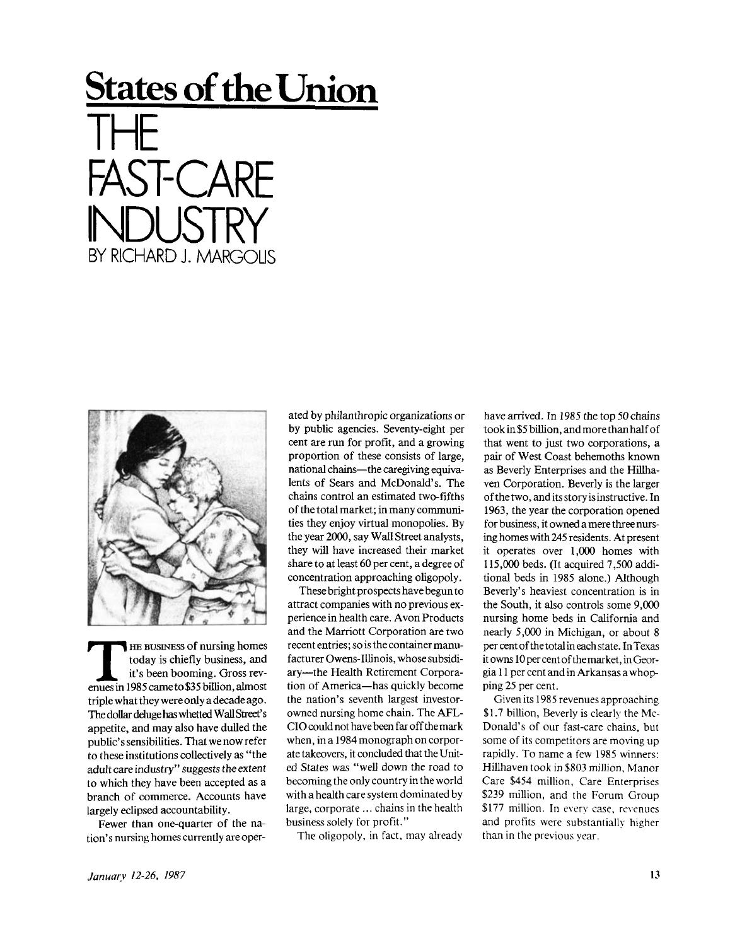## **States of the Union**

│├┼<br>┌<u>⋏┌</u>┬╭ ST-CARE BY RICHARD J. MARGOLIS



**THE BUSINESS Of nursing homes**<br>today is chiefly business, and<br>it's been booming. Gross revenues in 1985 came to \$35 billion, almost HE BUSINESS of nursing homes today is chiefly business, and it's been booming. Gross revtriple what they were only a decade ago. The dollar deluge has whetted Wall Street's appetite, and may also have dulled the public's sensibilities. That we now refer to these institutions collectively as "the adult care industry" suggests the extent to which they have been accepted as a branch of commerce. Accounts have largely eclipsed accountability.

Fewer than one-quarter of the nation's nursing homes currently are oper-

ated by philanthropic organizations or by public agencies. Seventy-eight per cent are run for profit, and a growing proportion of these consists of large, national chains—the caregiving equivalents of Sears and McDonald's. The chains control an estimated two-fifths of the total market; in many communities they enjoy virtual monopolies. By the year 2000, say Wall Street analysts, they will have increased their market share to at least 60 per cent, a degree of concentration approaching oligopoly.

These bright prospects have begun to attract companies with no previous experience in health care. Avon Products and the Marriott Corporation are two recent entries; so is the container manufacturer Owens-Illinois, whose subsidiary—the Health Retirement Corporation of America—has quickly become the nation's seventh largest investorowned nursing home chain. The AFL-CIO could not have been far off the mark when, in a 1984 monograph on corporate takeovers, it concluded that the United States was "well down the road to becoming the only country in the world with a health care system dominated by large, corporate ... chains in the health business solely for profit."

The oligopoly, in fact, may already

have arrived. In 1985 the top 50 chains took in \$5 billion, and more than half of that went to just two corporations, a pair of West Coast behemoths known as Beverly Enterprises and the Hillhaven Corporation. Beverly is the larger ofthetwo, and its story is instructive. In 1963, the year the corporation opened for business, it owned a mere three nursing homes with 245 residents. At present it operates over 1,000 homes with 115,000 beds. (It acquired 7,500 additional beds in 1985 alone.) Although Beverly's heaviest concentration is in the South, it also controls some 9,000 nursing home beds in California and nearly 5,000 in Michigan, or about 8 per cent of the total in each state. In Texas it owns 10 per cent of the market, in Georgia 11 per cent and in Arkansas a whopping 25 per cent.

Given its 1985 revenues approaching \$1.7 billion, Beverly is clearly the Mc-Donald's of our fast-care chains, but some of its competitors are moving up rapidly. To name a few 1985 winners: Hillhaven took in \$803 million, Manor Care \$454 million, Care Enterprises \$239 million, and the Forum Group \$177 million. In every case, revenues and profits were substantially higher than in the previous year.